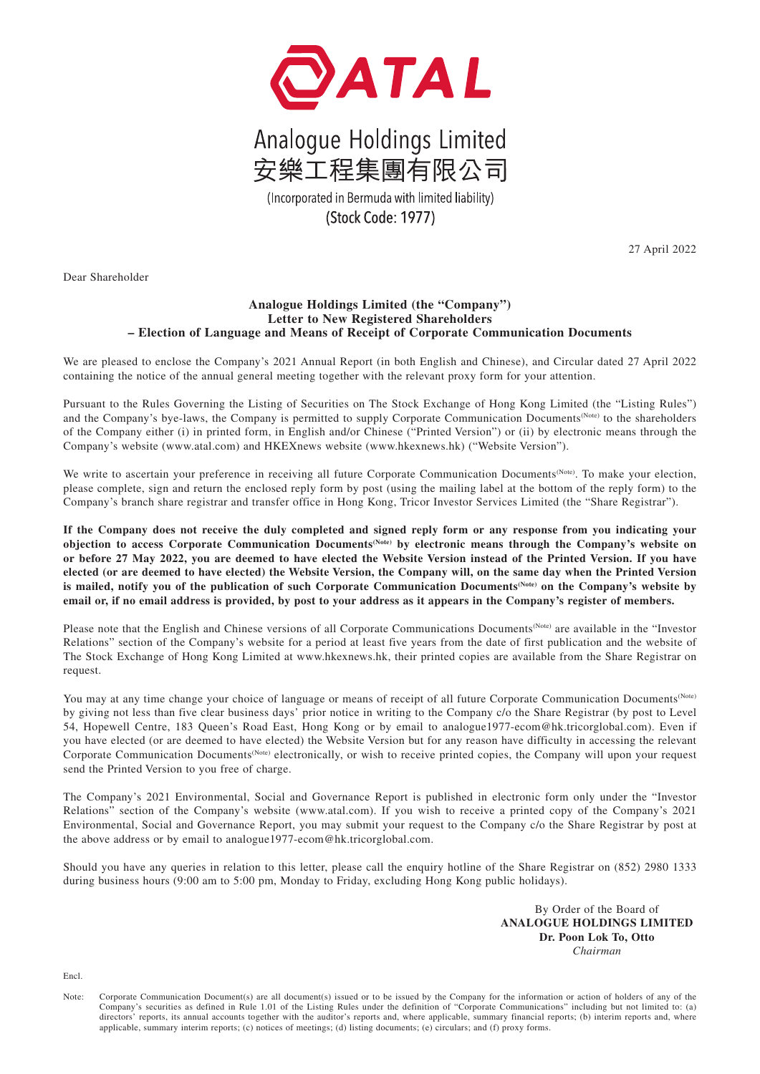

## Analogue Holdings Limited 安樂工程集團有限公司

(Incorporated in Bermuda with limited liability) (Stock Code: 1977)

27 April 2022

Dear Shareholder

## **Analogue Holdings Limited (the "Company") Letter to New Registered Shareholders – Election of Language and Means of Receipt of Corporate Communication Documents**

We are pleased to enclose the Company's 2021 Annual Report (in both English and Chinese), and Circular dated 27 April 2022 containing the notice of the annual general meeting together with the relevant proxy form for your attention.

Pursuant to the Rules Governing the Listing of Securities on The Stock Exchange of Hong Kong Limited (the "Listing Rules") and the Company's bye-laws, the Company is permitted to supply Corporate Communication Documents<sup>(Note)</sup> to the shareholders of the Company either (i) in printed form, in English and/or Chinese ("Printed Version") or (ii) by electronic means through the Company's website (www.atal.com) and HKEXnews website (www.hkexnews.hk) ("Website Version").

We write to ascertain your preference in receiving all future Corporate Communication Documents<sup>(Note)</sup>. To make your election, please complete, sign and return the enclosed reply form by post (using the mailing label at the bottom of the reply form) to the Company's branch share registrar and transfer office in Hong Kong, Tricor Investor Services Limited (the "Share Registrar").

**If the Company does not receive the duly completed and signed reply form or any response from you indicating your objection to access Corporate Communication Documents(Note) by electronic means through the Company's website on or before 27 May 2022, you are deemed to have elected the Website Version instead of the Printed Version. If you have elected (or are deemed to have elected) the Website Version, the Company will, on the same day when the Printed Version**  is mailed, notify you of the publication of such Corporate Communication Documents<sup>(Note)</sup> on the Company's website by **email or, if no email address is provided, by post to your address as it appears in the Company's register of members.**

Please note that the English and Chinese versions of all Corporate Communications Documents(Note) are available in the "Investor Relations" section of the Company's website for a period at least five years from the date of first publication and the website of The Stock Exchange of Hong Kong Limited at www.hkexnews.hk, their printed copies are available from the Share Registrar on request.

You may at any time change your choice of language or means of receipt of all future Corporate Communication Documents<sup>(Note)</sup> by giving not less than five clear business days' prior notice in writing to the Company c/o the Share Registrar (by post to Level 54, Hopewell Centre, 183 Queen's Road East, Hong Kong or by email to analogue1977-ecom@hk.tricorglobal.com). Even if you have elected (or are deemed to have elected) the Website Version but for any reason have difficulty in accessing the relevant Corporate Communication Documents(Note) electronically, or wish to receive printed copies, the Company will upon your request send the Printed Version to you free of charge.

The Company's 2021 Environmental, Social and Governance Report is published in electronic form only under the "Investor Relations" section of the Company's website (www.atal.com). If you wish to receive a printed copy of the Company's 2021 Environmental, Social and Governance Report, you may submit your request to the Company c/o the Share Registrar by post at the above address or by email to analogue1977-ecom@hk.tricorglobal.com.

Should you have any queries in relation to this letter, please call the enquiry hotline of the Share Registrar on (852) 2980 1333 during business hours (9:00 am to 5:00 pm, Monday to Friday, excluding Hong Kong public holidays).

> By Order of the Board of **ANALOGUE HOLDINGS LIMITED Dr. Poon Lok To, Otto** *Chairman*

Encl.

Note: Corporate Communication Document(s) are all document(s) issued or to be issued by the Company for the information or action of holders of any of the Company's securities as defined in Rule 1.01 of the Listing Rules under the definition of "Corporate Communications" including but not limited to: (a) directors' reports, its annual accounts together with the auditor's reports and, where applicable, summary financial reports; (b) interim reports and, where applicable, summary interim reports; (c) notices of meetings; (d) listing documents; (e) circulars; and (f) proxy forms.